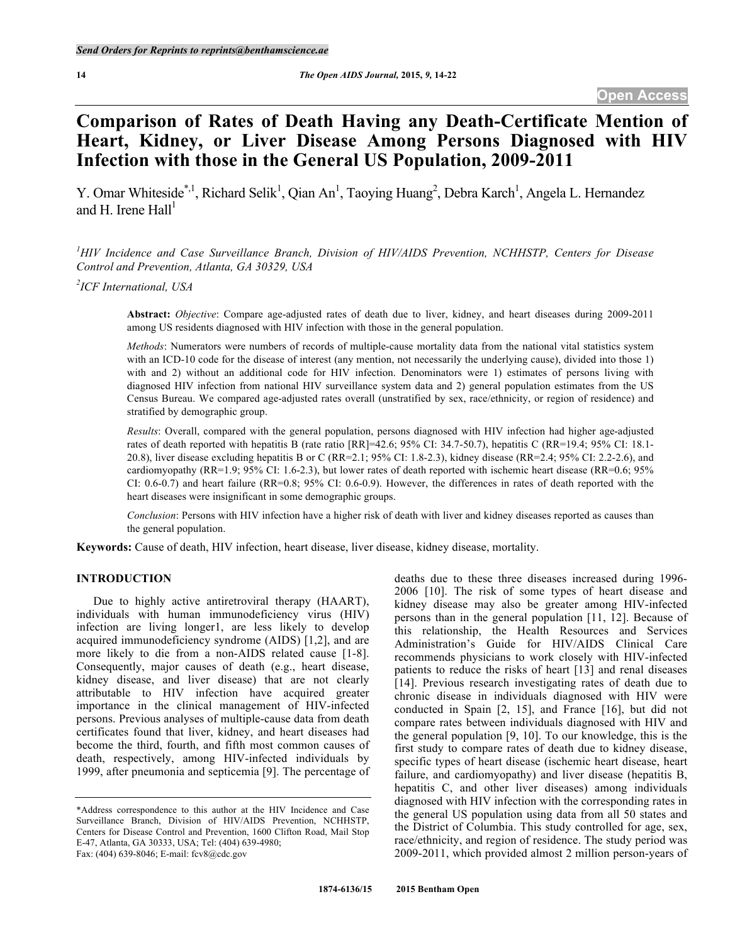# **Comparison of Rates of Death Having any Death-Certificate Mention of Heart, Kidney, or Liver Disease Among Persons Diagnosed with HIV Infection with those in the General US Population, 2009-2011**

Y. Omar Whiteside<sup>\*,1</sup>, Richard Selik<sup>1</sup>, Qian An<sup>1</sup>, Taoying Huang<sup>2</sup>, Debra Karch<sup>1</sup>, Angela L. Hernandez and H. Irene Hall<sup>1</sup>

*1 HIV Incidence and Case Surveillance Branch, Division of HIV/AIDS Prevention, NCHHSTP, Centers for Disease Control and Prevention, Atlanta, GA 30329, USA*

*2 ICF International, USA*

**Abstract:** *Objective*: Compare age-adjusted rates of death due to liver, kidney, and heart diseases during 2009-2011 among US residents diagnosed with HIV infection with those in the general population.

*Methods*: Numerators were numbers of records of multiple-cause mortality data from the national vital statistics system with an ICD-10 code for the disease of interest (any mention, not necessarily the underlying cause), divided into those 1) with and 2) without an additional code for HIV infection. Denominators were 1) estimates of persons living with diagnosed HIV infection from national HIV surveillance system data and 2) general population estimates from the US Census Bureau. We compared age-adjusted rates overall (unstratified by sex, race/ethnicity, or region of residence) and stratified by demographic group.

*Results*: Overall, compared with the general population, persons diagnosed with HIV infection had higher age-adjusted rates of death reported with hepatitis B (rate ratio [RR]=42.6; 95% CI: 34.7-50.7), hepatitis C (RR=19.4; 95% CI: 18.1- 20.8), liver disease excluding hepatitis B or C (RR=2.1; 95% CI: 1.8-2.3), kidney disease (RR=2.4; 95% CI: 2.2-2.6), and cardiomyopathy (RR=1.9; 95% CI: 1.6-2.3), but lower rates of death reported with ischemic heart disease (RR=0.6; 95% CI: 0.6-0.7) and heart failure (RR=0.8; 95% CI: 0.6-0.9). However, the differences in rates of death reported with the heart diseases were insignificant in some demographic groups.

*Conclusion*: Persons with HIV infection have a higher risk of death with liver and kidney diseases reported as causes than the general population.

**Keywords:** Cause of death, HIV infection, heart disease, liver disease, kidney disease, mortality.

## **INTRODUCTION**

Due to highly active antiretroviral therapy (HAART), individuals with human immunodeficiency virus (HIV) infection are living longer1, are less likely to develop acquired immunodeficiency syndrome (AIDS) [1,2], and are more likely to die from a non-AIDS related cause [1-8]. Consequently, major causes of death (e.g., heart disease, kidney disease, and liver disease) that are not clearly attributable to HIV infection have acquired greater importance in the clinical management of HIV-infected persons. Previous analyses of multiple-cause data from death certificates found that liver, kidney, and heart diseases had become the third, fourth, and fifth most common causes of death, respectively, among HIV-infected individuals by 1999, after pneumonia and septicemia [9]. The percentage of

Fax: (404) 639-8046; E-mail: fcv8@cdc.gov

deaths due to these three diseases increased during 1996- 2006 [10]. The risk of some types of heart disease and kidney disease may also be greater among HIV-infected persons than in the general population [11, 12]. Because of this relationship, the Health Resources and Services Administration's Guide for HIV/AIDS Clinical Care recommends physicians to work closely with HIV-infected patients to reduce the risks of heart [13] and renal diseases [14]. Previous research investigating rates of death due to chronic disease in individuals diagnosed with HIV were conducted in Spain [2, 15], and France [16], but did not compare rates between individuals diagnosed with HIV and the general population [9, 10]. To our knowledge, this is the first study to compare rates of death due to kidney disease, specific types of heart disease (ischemic heart disease, heart failure, and cardiomyopathy) and liver disease (hepatitis B, hepatitis C, and other liver diseases) among individuals diagnosed with HIV infection with the corresponding rates in the general US population using data from all 50 states and the District of Columbia. This study controlled for age, sex, race/ethnicity, and region of residence. The study period was 2009-2011, which provided almost 2 million person-years of

<sup>\*</sup>Address correspondence to this author at the HIV Incidence and Case Surveillance Branch, Division of HIV/AIDS Prevention, NCHHSTP, Centers for Disease Control and Prevention, 1600 Clifton Road, Mail Stop E-47, Atlanta, GA 30333, USA; Tel: (404) 639-4980;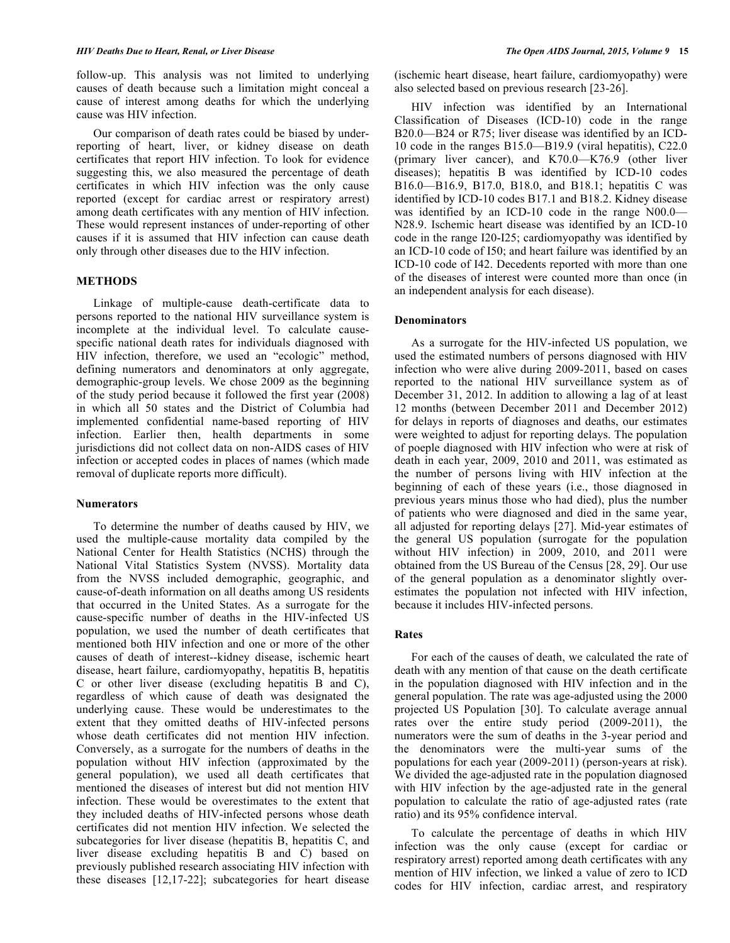follow-up. This analysis was not limited to underlying causes of death because such a limitation might conceal a cause of interest among deaths for which the underlying cause was HIV infection.

Our comparison of death rates could be biased by underreporting of heart, liver, or kidney disease on death certificates that report HIV infection. To look for evidence suggesting this, we also measured the percentage of death certificates in which HIV infection was the only cause reported (except for cardiac arrest or respiratory arrest) among death certificates with any mention of HIV infection. These would represent instances of under-reporting of other causes if it is assumed that HIV infection can cause death only through other diseases due to the HIV infection.

# **METHODS**

Linkage of multiple-cause death-certificate data to persons reported to the national HIV surveillance system is incomplete at the individual level. To calculate causespecific national death rates for individuals diagnosed with HIV infection, therefore, we used an "ecologic" method, defining numerators and denominators at only aggregate, demographic-group levels. We chose 2009 as the beginning of the study period because it followed the first year (2008) in which all 50 states and the District of Columbia had implemented confidential name-based reporting of HIV infection. Earlier then, health departments in some jurisdictions did not collect data on non-AIDS cases of HIV infection or accepted codes in places of names (which made removal of duplicate reports more difficult).

## **Numerators**

To determine the number of deaths caused by HIV, we used the multiple-cause mortality data compiled by the National Center for Health Statistics (NCHS) through the National Vital Statistics System (NVSS). Mortality data from the NVSS included demographic, geographic, and cause-of-death information on all deaths among US residents that occurred in the United States. As a surrogate for the cause-specific number of deaths in the HIV-infected US population, we used the number of death certificates that mentioned both HIV infection and one or more of the other causes of death of interest--kidney disease, ischemic heart disease, heart failure, cardiomyopathy, hepatitis B, hepatitis C or other liver disease (excluding hepatitis B and C), regardless of which cause of death was designated the underlying cause. These would be underestimates to the extent that they omitted deaths of HIV-infected persons whose death certificates did not mention HIV infection. Conversely, as a surrogate for the numbers of deaths in the population without HIV infection (approximated by the general population), we used all death certificates that mentioned the diseases of interest but did not mention HIV infection. These would be overestimates to the extent that they included deaths of HIV-infected persons whose death certificates did not mention HIV infection. We selected the subcategories for liver disease (hepatitis B, hepatitis C, and liver disease excluding hepatitis B and C) based on previously published research associating HIV infection with these diseases [12,17-22]; subcategories for heart disease

(ischemic heart disease, heart failure, cardiomyopathy) were also selected based on previous research [23-26].

HIV infection was identified by an International Classification of Diseases (ICD-10) code in the range B20.0—B24 or R75; liver disease was identified by an ICD-10 code in the ranges B15.0—B19.9 (viral hepatitis), C22.0 (primary liver cancer), and K70.0—K76.9 (other liver diseases); hepatitis B was identified by ICD-10 codes B16.0—B16.9, B17.0, B18.0, and B18.1; hepatitis C was identified by ICD-10 codes B17.1 and B18.2. Kidney disease was identified by an ICD-10 code in the range N00.0— N28.9. Ischemic heart disease was identified by an ICD-10 code in the range I20-I25; cardiomyopathy was identified by an ICD-10 code of I50; and heart failure was identified by an ICD-10 code of I42. Decedents reported with more than one of the diseases of interest were counted more than once (in an independent analysis for each disease).

## **Denominators**

As a surrogate for the HIV-infected US population, we used the estimated numbers of persons diagnosed with HIV infection who were alive during 2009-2011, based on cases reported to the national HIV surveillance system as of December 31, 2012. In addition to allowing a lag of at least 12 months (between December 2011 and December 2012) for delays in reports of diagnoses and deaths, our estimates were weighted to adjust for reporting delays. The population of poeple diagnosed with HIV infection who were at risk of death in each year, 2009, 2010 and 2011, was estimated as the number of persons living with HIV infection at the beginning of each of these years (i.e., those diagnosed in previous years minus those who had died), plus the number of patients who were diagnosed and died in the same year, all adjusted for reporting delays [27]. Mid-year estimates of the general US population (surrogate for the population without HIV infection) in 2009, 2010, and 2011 were obtained from the US Bureau of the Census [28, 29]. Our use of the general population as a denominator slightly overestimates the population not infected with HIV infection, because it includes HIV-infected persons.

# **Rates**

For each of the causes of death, we calculated the rate of death with any mention of that cause on the death certificate in the population diagnosed with HIV infection and in the general population. The rate was age-adjusted using the 2000 projected US Population [30]. To calculate average annual rates over the entire study period (2009-2011), the numerators were the sum of deaths in the 3-year period and the denominators were the multi-year sums of the populations for each year (2009-2011) (person-years at risk). We divided the age-adjusted rate in the population diagnosed with HIV infection by the age-adjusted rate in the general population to calculate the ratio of age-adjusted rates (rate ratio) and its 95% confidence interval.

To calculate the percentage of deaths in which HIV infection was the only cause (except for cardiac or respiratory arrest) reported among death certificates with any mention of HIV infection, we linked a value of zero to ICD codes for HIV infection, cardiac arrest, and respiratory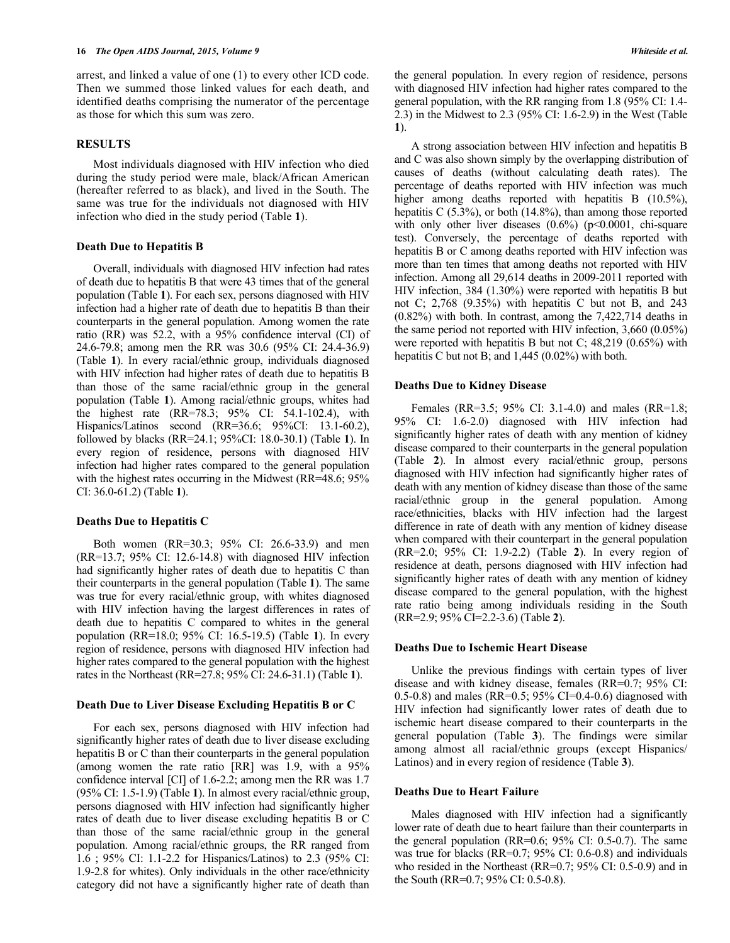arrest, and linked a value of one (1) to every other ICD code. Then we summed those linked values for each death, and identified deaths comprising the numerator of the percentage as those for which this sum was zero.

# **RESULTS**

Most individuals diagnosed with HIV infection who died during the study period were male, black/African American (hereafter referred to as black), and lived in the South. The same was true for the individuals not diagnosed with HIV infection who died in the study period (Table **1**).

#### **Death Due to Hepatitis B**

Overall, individuals with diagnosed HIV infection had rates of death due to hepatitis B that were 43 times that of the general population (Table **1**). For each sex, persons diagnosed with HIV infection had a higher rate of death due to hepatitis B than their counterparts in the general population. Among women the rate ratio (RR) was 52.2, with a 95% confidence interval (CI) of 24.6-79.8; among men the RR was 30.6 (95% CI: 24.4-36.9) (Table **1**). In every racial/ethnic group, individuals diagnosed with HIV infection had higher rates of death due to hepatitis B than those of the same racial/ethnic group in the general population (Table **1**). Among racial/ethnic groups, whites had the highest rate (RR=78.3; 95% CI: 54.1-102.4), with Hispanics/Latinos second (RR=36.6; 95%CI: 13.1-60.2), followed by blacks (RR=24.1; 95%CI: 18.0-30.1) (Table **1**). In every region of residence, persons with diagnosed HIV infection had higher rates compared to the general population with the highest rates occurring in the Midwest (RR=48.6; 95%) CI: 36.0-61.2) (Table **1**).

#### **Deaths Due to Hepatitis C**

Both women (RR=30.3; 95% CI: 26.6-33.9) and men (RR=13.7; 95% CI: 12.6-14.8) with diagnosed HIV infection had significantly higher rates of death due to hepatitis C than their counterparts in the general population (Table **1**). The same was true for every racial/ethnic group, with whites diagnosed with HIV infection having the largest differences in rates of death due to hepatitis C compared to whites in the general population (RR=18.0; 95% CI: 16.5-19.5) (Table **1**). In every region of residence, persons with diagnosed HIV infection had higher rates compared to the general population with the highest rates in the Northeast (RR=27.8; 95% CI: 24.6-31.1) (Table **1**).

# **Death Due to Liver Disease Excluding Hepatitis B or C**

For each sex, persons diagnosed with HIV infection had significantly higher rates of death due to liver disease excluding hepatitis B or C than their counterparts in the general population (among women the rate ratio [RR] was 1.9, with a 95% confidence interval [CI] of 1.6-2.2; among men the RR was 1.7 (95% CI: 1.5-1.9) (Table **1**). In almost every racial/ethnic group, persons diagnosed with HIV infection had significantly higher rates of death due to liver disease excluding hepatitis B or C than those of the same racial/ethnic group in the general population. Among racial/ethnic groups, the RR ranged from 1.6 ; 95% CI: 1.1-2.2 for Hispanics/Latinos) to 2.3 (95% CI: 1.9-2.8 for whites). Only individuals in the other race/ethnicity category did not have a significantly higher rate of death than the general population. In every region of residence, persons with diagnosed HIV infection had higher rates compared to the general population, with the RR ranging from 1.8 (95% CI: 1.4- 2.3) in the Midwest to 2.3 (95% CI: 1.6-2.9) in the West (Table **1**).

A strong association between HIV infection and hepatitis B and C was also shown simply by the overlapping distribution of causes of deaths (without calculating death rates). The percentage of deaths reported with HIV infection was much higher among deaths reported with hepatitis B (10.5%), hepatitis C (5.3%), or both (14.8%), than among those reported with only other liver diseases  $(0.6\%)$  (p<0.0001, chi-square test). Conversely, the percentage of deaths reported with hepatitis B or C among deaths reported with HIV infection was more than ten times that among deaths not reported with HIV infection. Among all 29,614 deaths in 2009-2011 reported with HIV infection, 384 (1.30%) were reported with hepatitis B but not C; 2,768 (9.35%) with hepatitis C but not B, and 243 (0.82%) with both. In contrast, among the 7,422,714 deaths in the same period not reported with HIV infection, 3,660 (0.05%) were reported with hepatitis B but not C; 48,219 (0.65%) with hepatitis C but not B; and 1,445 (0.02%) with both.

#### **Deaths Due to Kidney Disease**

Females (RR=3.5; 95% CI: 3.1-4.0) and males (RR=1.8; 95% CI: 1.6-2.0) diagnosed with HIV infection had significantly higher rates of death with any mention of kidney disease compared to their counterparts in the general population (Table **2**). In almost every racial/ethnic group, persons diagnosed with HIV infection had significantly higher rates of death with any mention of kidney disease than those of the same racial/ethnic group in the general population. Among race/ethnicities, blacks with HIV infection had the largest difference in rate of death with any mention of kidney disease when compared with their counterpart in the general population (RR=2.0; 95% CI: 1.9-2.2) (Table **2**). In every region of residence at death, persons diagnosed with HIV infection had significantly higher rates of death with any mention of kidney disease compared to the general population, with the highest rate ratio being among individuals residing in the South (RR=2.9; 95% CI=2.2-3.6) (Table **2**).

### **Deaths Due to Ischemic Heart Disease**

Unlike the previous findings with certain types of liver disease and with kidney disease, females (RR=0.7; 95% CI: 0.5-0.8) and males (RR=0.5; 95% CI=0.4-0.6) diagnosed with HIV infection had significantly lower rates of death due to ischemic heart disease compared to their counterparts in the general population (Table **3**). The findings were similar among almost all racial/ethnic groups (except Hispanics/ Latinos) and in every region of residence (Table **3**).

## **Deaths Due to Heart Failure**

Males diagnosed with HIV infection had a significantly lower rate of death due to heart failure than their counterparts in the general population (RR=0.6; 95% CI: 0.5-0.7). The same was true for blacks (RR=0.7; 95% CI: 0.6-0.8) and individuals who resided in the Northeast (RR=0.7; 95% CI: 0.5-0.9) and in the South (RR=0.7; 95% CI: 0.5-0.8).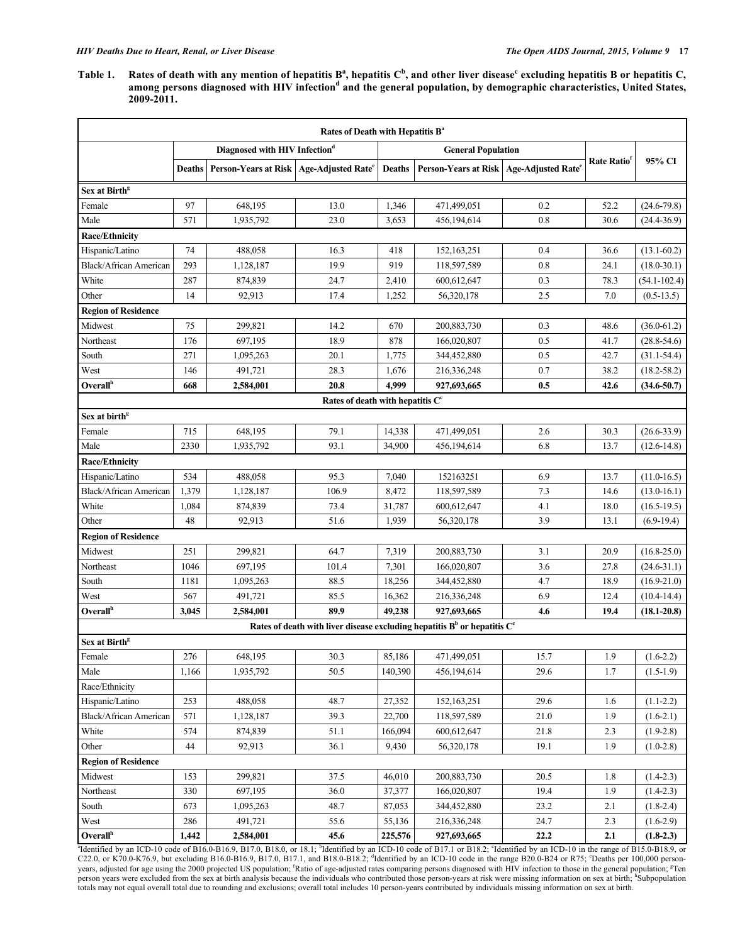Table 1. Rates of death with any mention of hepatitis  $B^a$ , hepatitis  $C^b$ , and other liver disease<sup>c</sup> excluding hepatitis B or hepatitis C, **among persons diagnosed with HIV infection<sup>d</sup> and the general population, by demographic characteristics, United States, 2009-2011.**

| Rates of Death with Hepatitis B <sup>a</sup>                                 |        |                                                       |                                              |               |                                                       |      |                         |                  |  |  |
|------------------------------------------------------------------------------|--------|-------------------------------------------------------|----------------------------------------------|---------------|-------------------------------------------------------|------|-------------------------|------------------|--|--|
|                                                                              |        | Diagnosed with HIV Infection <sup>d</sup>             |                                              |               | <b>General Population</b>                             |      |                         |                  |  |  |
|                                                                              | Deaths | Person-Years at Risk   Age-Adjusted Rate <sup>e</sup> |                                              | <b>Deaths</b> | Person-Years at Risk   Age-Adjusted Rate <sup>e</sup> |      | Rate Ratio <sup>t</sup> | 95% CI           |  |  |
| Sex at Birth <sup>g</sup>                                                    |        |                                                       |                                              |               |                                                       |      |                         |                  |  |  |
| Female                                                                       | 97     | 648,195                                               | 13.0                                         | 1,346         | 471,499,051                                           | 0.2  | 52.2                    | $(24.6 - 79.8)$  |  |  |
| Male                                                                         | 571    | 1,935,792                                             | 23.0                                         | 3,653         | 456,194,614                                           | 0.8  | 30.6                    | $(24.4 - 36.9)$  |  |  |
| <b>Race/Ethnicity</b>                                                        |        |                                                       |                                              |               |                                                       |      |                         |                  |  |  |
| Hispanic/Latino                                                              | 74     | 488,058                                               | 16.3                                         | 418           | 152, 163, 251                                         | 0.4  | 36.6                    | $(13.1 - 60.2)$  |  |  |
| <b>Black/African American</b>                                                | 293    | 1,128,187                                             | 19.9                                         | 919           | 118,597,589                                           | 0.8  | 24.1                    | $(18.0 - 30.1)$  |  |  |
| White                                                                        | 287    | 874,839                                               | 24.7                                         | 2,410         | 600,612,647                                           | 0.3  | 78.3                    | $(54.1 - 102.4)$ |  |  |
| Other                                                                        | 14     | 92,913                                                | 17.4                                         | 1,252         | 56,320,178                                            | 2.5  | 7.0                     | $(0.5-13.5)$     |  |  |
| <b>Region of Residence</b>                                                   |        |                                                       |                                              |               |                                                       |      |                         |                  |  |  |
| Midwest                                                                      | 75     | 299,821                                               | 14.2                                         | 670           | 200,883,730                                           | 0.3  | 48.6                    | $(36.0 - 61.2)$  |  |  |
| Northeast                                                                    | 176    | 697,195                                               | 18.9                                         | 878           | 166,020,807                                           | 0.5  | 41.7                    | $(28.8 - 54.6)$  |  |  |
| South                                                                        | 271    | 1,095,263                                             | 20.1                                         | 1,775         | 344,452,880                                           | 0.5  | 42.7                    | $(31.1 - 54.4)$  |  |  |
| West                                                                         | 146    | 491,721                                               | 28.3                                         | 1,676         | 216,336,248                                           | 0.7  | 38.2                    | $(18.2 - 58.2)$  |  |  |
| <b>Overall</b> <sup>h</sup>                                                  | 668    | 2,584,001                                             | 20.8                                         | 4.999         | 927,693,665                                           | 0.5  | 42.6                    | $(34.6 - 50.7)$  |  |  |
|                                                                              |        |                                                       | Rates of death with hepatitis C <sup>c</sup> |               |                                                       |      |                         |                  |  |  |
| Sex at birth <sup>g</sup>                                                    |        |                                                       |                                              |               |                                                       |      |                         |                  |  |  |
| Female                                                                       | 715    | 648,195                                               | 79.1                                         | 14,338        | 471,499,051                                           | 2.6  | 30.3                    | $(26.6 - 33.9)$  |  |  |
| Male                                                                         | 2330   | 1,935,792                                             | 93.1                                         | 34,900        | 456,194,614                                           | 6.8  | 13.7                    | $(12.6 - 14.8)$  |  |  |
| Race/Ethnicity                                                               |        |                                                       |                                              |               |                                                       |      |                         |                  |  |  |
| Hispanic/Latino                                                              | 534    | 488,058                                               | 95.3                                         | 7,040         | 152163251                                             | 6.9  | 13.7                    | $(11.0 - 16.5)$  |  |  |
| <b>Black/African American</b>                                                | 1,379  | 1,128,187                                             | 106.9                                        | 8,472         | 118,597,589                                           | 7.3  | 14.6                    | $(13.0 - 16.1)$  |  |  |
| White                                                                        | 1,084  | 874,839                                               | 73.4                                         | 31,787        | 600,612,647                                           | 4.1  | 18.0                    | $(16.5-19.5)$    |  |  |
| Other                                                                        | 48     | 92,913                                                | 51.6                                         | 1,939         | 56,320,178                                            | 3.9  | 13.1                    | $(6.9-19.4)$     |  |  |
| <b>Region of Residence</b>                                                   |        |                                                       |                                              |               |                                                       |      |                         |                  |  |  |
| Midwest                                                                      | 251    | 299,821                                               | 64.7                                         | 7,319         | 200,883,730                                           | 3.1  | 20.9                    | $(16.8 - 25.0)$  |  |  |
| Northeast                                                                    | 1046   | 697,195                                               | 101.4                                        | 7,301         | 166,020,807                                           | 3.6  | 27.8                    | $(24.6 - 31.1)$  |  |  |
| South                                                                        | 1181   | 1,095,263                                             | 88.5                                         | 18,256        | 344,452,880                                           | 4.7  | 18.9                    | $(16.9 - 21.0)$  |  |  |
| West                                                                         | 567    | 491,721                                               | 85.5                                         | 16,362        | 216,336,248                                           | 6.9  | 12.4                    | $(10.4 - 14.4)$  |  |  |
| Overall <sup>h</sup>                                                         | 3,045  | 2,584,001                                             | 89.9                                         | 49,238        | 927,693,665                                           | 4.6  | 19.4                    | $(18.1 - 20.8)$  |  |  |
| Rates of death with liver disease excluding hepatitis $Bb$ or hepatitis $Cc$ |        |                                                       |                                              |               |                                                       |      |                         |                  |  |  |
| Sex at Birth <sup>g</sup>                                                    |        |                                                       |                                              |               |                                                       |      |                         |                  |  |  |
| Female                                                                       | 276    | 648,195                                               | 30.3                                         | 85,186        | 471,499,051                                           | 15.7 | 1.9                     | $(1.6-2.2)$      |  |  |
| Male                                                                         | 1,166  | 1,935,792                                             | 50.5                                         | 140,390       | 456,194,614                                           | 29.6 | 1.7                     | $(1.5-1.9)$      |  |  |
| Race/Ethnicity                                                               |        |                                                       |                                              |               |                                                       |      |                         |                  |  |  |
| Hispanic/Latino                                                              | 253    | 488,058                                               | 48.7                                         | 27,352        | 152, 163, 251                                         | 29.6 | 1.6                     | $(1.1-2.2)$      |  |  |
| <b>Black/African American</b>                                                | 571    | 1,128,187                                             | 39.3                                         | 22,700        | 118,597,589                                           | 21.0 | 1.9                     | $(1.6-2.1)$      |  |  |
| White                                                                        | 574    | 874,839                                               | 51.1                                         | 166,094       | 600,612,647                                           | 21.8 | 2.3                     | $(1.9-2.8)$      |  |  |
| Other                                                                        | 44     | 92,913                                                | 36.1                                         | 9,430         | 56,320,178                                            | 19.1 | 1.9                     | $(1.0-2.8)$      |  |  |
| <b>Region of Residence</b>                                                   |        |                                                       |                                              |               |                                                       |      |                         |                  |  |  |
| Midwest                                                                      | 153    | 299,821                                               | 37.5                                         | 46,010        | 200,883,730                                           | 20.5 | 1.8                     | $(1.4-2.3)$      |  |  |
| Northeast                                                                    | 330    | 697,195                                               | 36.0                                         | 37,377        | 166,020,807                                           | 19.4 | 1.9                     | $(1.4-2.3)$      |  |  |
| South                                                                        | 673    | 1,095,263                                             | 48.7                                         | 87,053        | 344,452,880                                           | 23.2 | 2.1                     | $(1.8-2.4)$      |  |  |
| West                                                                         | 286    | 491,721                                               | 55.6                                         | 55,136        | 216,336,248                                           | 24.7 | 2.3                     | $(1.6-2.9)$      |  |  |
| Overall <sup>h</sup>                                                         | 1,442  | 2,584,001                                             | 45.6                                         | 225,576       | 927,693,665                                           | 22.2 | 2.1                     | $(1.8-2.3)$      |  |  |

"Identified by an ICD-10 code of B16.0-B16.9, B17.0, B18.0, or 18.1; <sup>b</sup>Identified by an ICD-10 code of B17.1 or B18.2; "Identified by an ICD-10 in the range of B15.0-B18.9, or C22.0, or K70.0-K76.9, but excluding B16.0-B1 years, adjusted for age using the 2000 projected US population; <sup>f</sup>Ratio of age-adjusted rates comparing persons diagnosed with HIV infection to those in the general population; <sup>\*</sup>Ten<br>person years were excluded from the s totals may not equal overall total due to rounding and exclusions; overall total includes 10 person-years contributed by individuals missing information on sex at birth.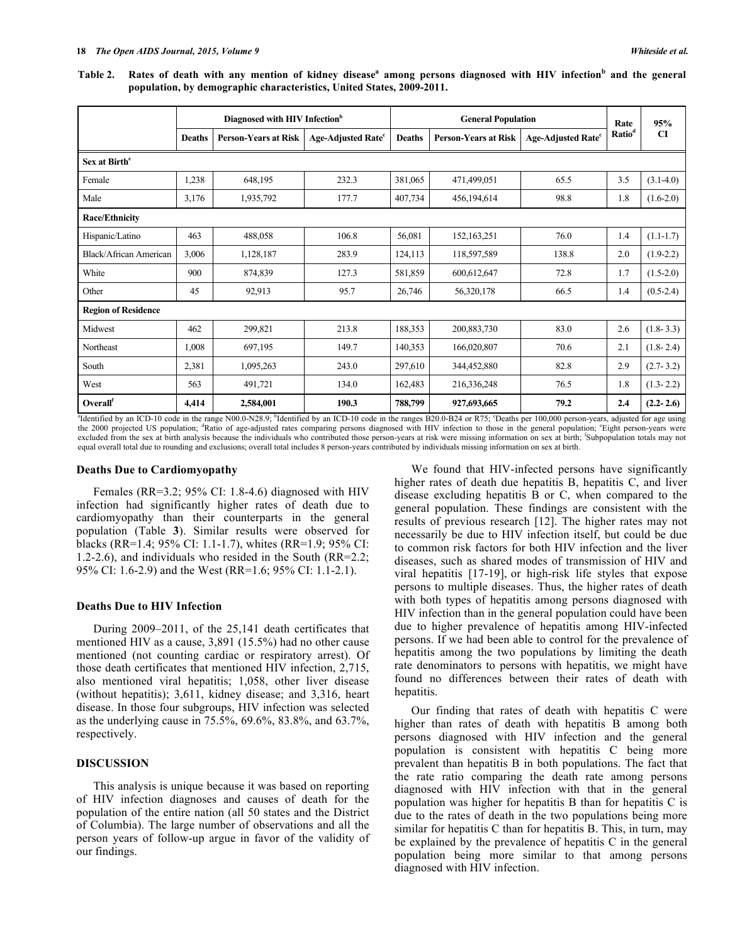**Table 2.** Rates of death with any mention of kidney disease<sup>a</sup> among persons diagnosed with HIV infection<sup>b</sup> and the general **population, by demographic characteristics, United States, 2009-2011.**

|                            | Diagnosed with HIV Infection <sup>b</sup> |                             |                                | <b>General Population</b> |                             |                                | Rate               | 95%           |  |
|----------------------------|-------------------------------------------|-----------------------------|--------------------------------|---------------------------|-----------------------------|--------------------------------|--------------------|---------------|--|
|                            | <b>Deaths</b>                             | <b>Person-Years at Risk</b> | Age-Adjusted Rate <sup>c</sup> | <b>Deaths</b>             | <b>Person-Years at Risk</b> | Age-Adjusted Rate <sup>c</sup> | Ratio <sup>d</sup> | <b>CI</b>     |  |
| Sex at Birth <sup>e</sup>  |                                           |                             |                                |                           |                             |                                |                    |               |  |
| Female                     | 1,238                                     | 648,195                     | 232.3                          | 381,065                   | 471,499,051                 | 65.5                           | 3.5                | $(3.1-4.0)$   |  |
| Male                       | 3,176                                     | 1,935,792                   | 177.7                          | 407,734                   | 456,194,614                 | 98.8                           | 1.8                | $(1.6-2.0)$   |  |
| <b>Race/Ethnicity</b>      |                                           |                             |                                |                           |                             |                                |                    |               |  |
| Hispanic/Latino            | 463                                       | 488,058                     | 106.8                          | 56,081                    | 152, 163, 251               | 76.0                           | 1.4                | $(1.1-1.7)$   |  |
| Black/African American     | 3,006                                     | 1,128,187                   | 283.9                          | 124,113                   | 118,597,589                 | 138.8                          | 2.0                | $(1.9-2.2)$   |  |
| White                      | 900                                       | 874,839                     | 127.3                          | 581,859                   | 600,612,647                 | 72.8                           | 1.7                | $(1.5-2.0)$   |  |
| Other                      | 45                                        | 92,913                      | 95.7                           | 26,746                    | 56,320,178                  | 66.5                           | 1.4                | $(0.5-2.4)$   |  |
| <b>Region of Residence</b> |                                           |                             |                                |                           |                             |                                |                    |               |  |
| Midwest                    | 462                                       | 299,821                     | 213.8                          | 188,353                   | 200,883,730                 | 83.0                           | 2.6                | $(1.8 - 3.3)$ |  |
| Northeast                  | 1,008                                     | 697,195                     | 149.7                          | 140,353                   | 166,020,807                 | 70.6                           | 2.1                | $(1.8 - 2.4)$ |  |
| South                      | 2,381                                     | 1,095,263                   | 243.0                          | 297,610                   | 344,452,880                 | 82.8                           | 2.9                | $(2.7 - 3.2)$ |  |
| West                       | 563                                       | 491,721                     | 134.0                          | 162,483                   | 216,336,248                 | 76.5                           | 1.8                | $(1.3 - 2.2)$ |  |
| Overall                    | 4,414                                     | 2,584,001                   | 190.3                          | 788,799                   | 927,693,665                 | 79.2                           | 2.4                | $(2.2 - 2.6)$ |  |

<sup>a</sup>Identified by an ICD-10 code in the range N00.0-N28.9; <sup>b</sup>Identified by an ICD-10 code in the ranges B20.0-B24 or R75; <sup>c</sup>Deaths per 100,000 person-years, adjusted for age using the 2000 projected US population; <sup>4</sup>Ratio of age-adjusted rates comparing persons diagnosed with HIV infection to those in the general population; <sup>e</sup>Eight person-years were excluded from the sex at birth analysis because the individuals who contributed those person-years at risk were missing information on sex at birth; <sup>f</sup>Subpopulation totals may not equal overall total due to rounding and exclusions; overall total includes 8 person-years contributed by individuals missing information on sex at birth.

#### **Deaths Due to Cardiomyopathy**

Females (RR=3.2; 95% CI: 1.8-4.6) diagnosed with HIV infection had significantly higher rates of death due to cardiomyopathy than their counterparts in the general population (Table **3**). Similar results were observed for blacks (RR=1.4; 95% CI: 1.1-1.7), whites (RR=1.9; 95% CI: 1.2-2.6), and individuals who resided in the South (RR=2.2; 95% CI: 1.6-2.9) and the West (RR=1.6; 95% CI: 1.1-2.1).

#### **Deaths Due to HIV Infection**

During 2009–2011, of the 25,141 death certificates that mentioned HIV as a cause, 3,891 (15.5%) had no other cause mentioned (not counting cardiac or respiratory arrest). Of those death certificates that mentioned HIV infection, 2,715, also mentioned viral hepatitis; 1,058, other liver disease (without hepatitis); 3,611, kidney disease; and 3,316, heart disease. In those four subgroups, HIV infection was selected as the underlying cause in 75.5%, 69.6%, 83.8%, and 63.7%, respectively.

#### **DISCUSSION**

This analysis is unique because it was based on reporting of HIV infection diagnoses and causes of death for the population of the entire nation (all 50 states and the District of Columbia). The large number of observations and all the person years of follow-up argue in favor of the validity of our findings.

We found that HIV-infected persons have significantly higher rates of death due hepatitis B, hepatitis C, and liver disease excluding hepatitis B or C, when compared to the general population. These findings are consistent with the results of previous research [12]. The higher rates may not necessarily be due to HIV infection itself, but could be due to common risk factors for both HIV infection and the liver diseases, such as shared modes of transmission of HIV and viral hepatitis [17-19], or high-risk life styles that expose persons to multiple diseases. Thus, the higher rates of death with both types of hepatitis among persons diagnosed with HIV infection than in the general population could have been due to higher prevalence of hepatitis among HIV-infected persons. If we had been able to control for the prevalence of hepatitis among the two populations by limiting the death rate denominators to persons with hepatitis, we might have found no differences between their rates of death with hepatitis.

Our finding that rates of death with hepatitis C were higher than rates of death with hepatitis B among both persons diagnosed with HIV infection and the general population is consistent with hepatitis C being more prevalent than hepatitis B in both populations. The fact that the rate ratio comparing the death rate among persons diagnosed with HIV infection with that in the general population was higher for hepatitis B than for hepatitis C is due to the rates of death in the two populations being more similar for hepatitis C than for hepatitis B. This, in turn, may be explained by the prevalence of hepatitis C in the general population being more similar to that among persons diagnosed with HIV infection.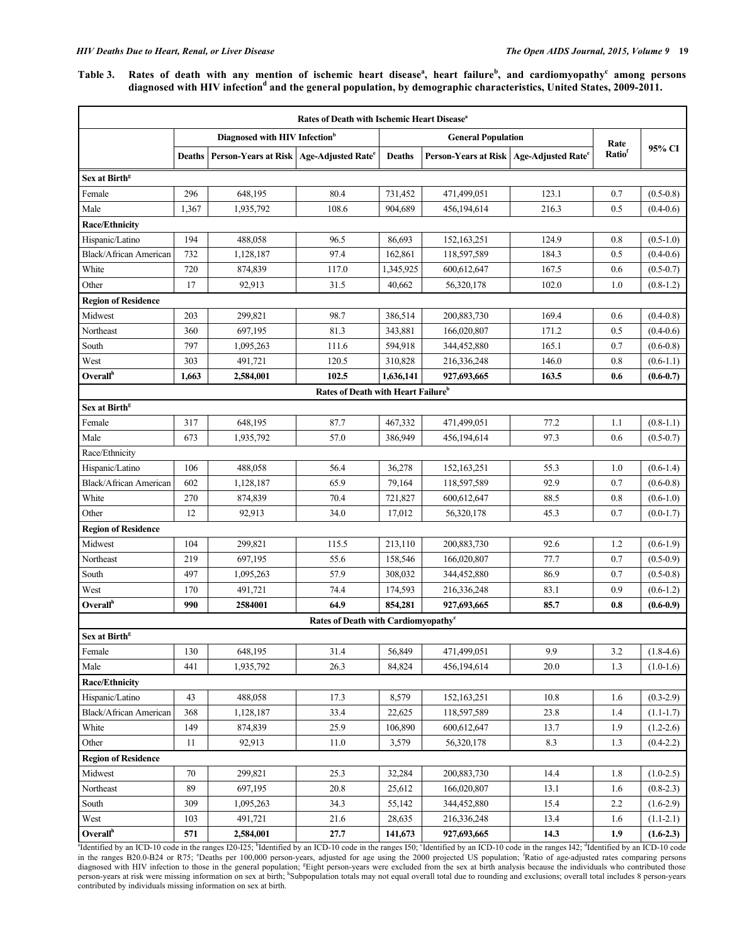Table 3. Rates of death with any mention of ischemic heart disease<sup>a</sup>, heart failure<sup>b</sup>, and cardiomyopathy<sup>c</sup> among persons **diagnosed with HIV infection<sup>d</sup> and the general population, by demographic characteristics, United States, 2009-2011.**

| Rates of Death with Ischemic Heart Disease <sup>a</sup> |               |                                                       |                                                |                           |                                                       |       |         |               |  |  |
|---------------------------------------------------------|---------------|-------------------------------------------------------|------------------------------------------------|---------------------------|-------------------------------------------------------|-------|---------|---------------|--|--|
|                                                         |               | Diagnosed with HIV Infection <sup>b</sup>             |                                                | <b>General Population</b> |                                                       |       | Rate    |               |  |  |
|                                                         | <b>Deaths</b> | Person-Years at Risk   Age-Adjusted Rate <sup>e</sup> |                                                | <b>Deaths</b>             | Person-Years at Risk   Age-Adjusted Rate <sup>e</sup> |       | Ratiof  | 95% CI        |  |  |
| Sex at Birth <sup>g</sup>                               |               |                                                       |                                                |                           |                                                       |       |         |               |  |  |
| Female                                                  | 296           | 648,195                                               | 80.4                                           | 731,452                   | 471,499,051                                           | 123.1 | 0.7     | $(0.5-0.8)$   |  |  |
| Male                                                    | 1,367         | 1,935,792                                             | 108.6                                          | 904,689                   | 456,194,614                                           | 216.3 | 0.5     | $(0.4-0.6)$   |  |  |
| <b>Race/Ethnicity</b>                                   |               |                                                       |                                                |                           |                                                       |       |         |               |  |  |
| Hispanic/Latino                                         | 194           | 488,058                                               | 96.5                                           | 86,693                    | 152,163,251                                           | 124.9 | 0.8     | $(0.5-1.0)$   |  |  |
| <b>Black/African American</b>                           | 732           | 1,128,187                                             | 97.4                                           | 162,861                   | 118,597,589                                           | 184.3 | 0.5     | $(0.4-0.6)$   |  |  |
| White                                                   | 720           | 874,839                                               | 117.0                                          | 1,345,925                 | 600,612,647                                           | 167.5 | 0.6     | $(0.5-0.7)$   |  |  |
| Other                                                   | 17            | 92,913                                                | 31.5                                           | 40,662                    | 56,320,178                                            | 102.0 | 1.0     | $(0.8-1.2)$   |  |  |
| <b>Region of Residence</b>                              |               |                                                       |                                                |                           |                                                       |       |         |               |  |  |
| Midwest                                                 | 203           | 299,821                                               | 98.7                                           | 386,514                   | 200,883,730                                           | 169.4 | 0.6     | $(0.4-0.8)$   |  |  |
| Northeast                                               | 360           | 697,195                                               | 81.3                                           | 343,881                   | 166,020,807                                           | 171.2 | 0.5     | $(0.4-0.6)$   |  |  |
| South                                                   | 797           | 1,095,263                                             | 111.6                                          | 594,918                   | 344,452,880                                           | 165.1 | 0.7     | $(0.6-0.8)$   |  |  |
| West                                                    | 303           | 491,721                                               | 120.5                                          | 310,828                   | 216,336,248                                           | 146.0 | 0.8     | $(0.6-1.1)$   |  |  |
| Overall <sup>h</sup>                                    | 1,663         | 2,584,001                                             | 102.5                                          | 1,636,141                 | 927,693,665                                           | 163.5 | 0.6     | $(0.6-0.7)$   |  |  |
|                                                         |               |                                                       | Rates of Death with Heart Failure <sup>b</sup> |                           |                                                       |       |         |               |  |  |
| Sex at Birth <sup>g</sup>                               |               |                                                       |                                                |                           |                                                       |       |         |               |  |  |
| Female                                                  | 317           | 648,195                                               | 87.7                                           | 467,332                   | 471,499,051                                           | 77.2  | 1.1     | $(0.8-1.1)$   |  |  |
| Male                                                    | 673           | 1,935,792                                             | 57.0                                           | 386,949                   | 456,194,614                                           | 97.3  | 0.6     | $(0.5 - 0.7)$ |  |  |
| Race/Ethnicity                                          |               |                                                       |                                                |                           |                                                       |       |         |               |  |  |
| Hispanic/Latino                                         | 106           | 488,058                                               | 56.4                                           | 36,278                    | 152,163,251                                           | 55.3  | 1.0     | $(0.6-1.4)$   |  |  |
| <b>Black/African American</b>                           | 602           | 1,128,187                                             | 65.9                                           | 79,164                    | 118,597,589                                           | 92.9  | 0.7     | $(0.6-0.8)$   |  |  |
| White                                                   | 270           | 874,839                                               | 70.4                                           | 721,827                   | 600,612,647                                           | 88.5  | $0.8\,$ | $(0.6-1.0)$   |  |  |
| Other                                                   | 12            | 92,913                                                | 34.0                                           | 17,012                    | 56,320,178                                            | 45.3  | 0.7     | $(0.0-1.7)$   |  |  |
| <b>Region of Residence</b>                              |               |                                                       |                                                |                           |                                                       |       |         |               |  |  |
| Midwest                                                 | 104           | 299,821                                               | 115.5                                          | 213,110                   | 200,883,730                                           | 92.6  | 1.2     | $(0.6-1.9)$   |  |  |
| Northeast                                               | 219           | 697,195                                               | 55.6                                           | 158,546                   | 166,020,807                                           | 77.7  | 0.7     | $(0.5-0.9)$   |  |  |
| South                                                   | 497           | 1,095,263                                             | 57.9                                           | 308,032                   | 344,452,880                                           | 86.9  | 0.7     | $(0.5-0.8)$   |  |  |
| West                                                    | 170           | 491,721                                               | 74.4                                           | 174,593                   | 216,336,248                                           | 83.1  | 0.9     | $(0.6-1.2)$   |  |  |
| Overall <sup>h</sup>                                    | 990           | 2584001                                               | 64.9                                           | 854,281                   | 927,693,665                                           | 85.7  | 0.8     | $(0.6-0.9)$   |  |  |
| Rates of Death with Cardiomyopathy <sup>c</sup>         |               |                                                       |                                                |                           |                                                       |       |         |               |  |  |
| Sex at Birth <sup>g</sup>                               |               |                                                       |                                                |                           |                                                       |       |         |               |  |  |
| Female                                                  | 130           | 648,195                                               | 31.4                                           | 56,849                    | 471,499,051                                           | 9.9   | 3.2     | $(1.8-4.6)$   |  |  |
| Male                                                    | 441           | 1,935,792                                             | 26.3                                           | 84,824                    | 456,194,614                                           | 20.0  | 1.3     | $(1.0-1.6)$   |  |  |
| <b>Race/Ethnicity</b>                                   |               |                                                       |                                                |                           |                                                       |       |         |               |  |  |
| Hispanic/Latino                                         | 43            | 488,058                                               | 17.3                                           | 8,579                     | 152, 163, 251                                         | 10.8  | 1.6     | $(0.3-2.9)$   |  |  |
| <b>Black/African American</b>                           | 368           | 1,128,187                                             | 33.4                                           | 22,625                    | 118,597,589                                           | 23.8  | 1.4     | $(1.1-1.7)$   |  |  |
| White                                                   | 149           | 874,839                                               | 25.9                                           | 106,890                   | 600,612,647                                           | 13.7  | 1.9     | $(1.2 - 2.6)$ |  |  |
| Other                                                   | 11            | 92,913                                                | 11.0                                           | 3,579                     | 56,320,178                                            | 8.3   | 1.3     | $(0.4-2.2)$   |  |  |
| <b>Region of Residence</b>                              |               |                                                       |                                                |                           |                                                       |       |         |               |  |  |
| Midwest                                                 | 70            | 299,821                                               | 25.3                                           | 32,284                    | 200,883,730                                           | 14.4  | 1.8     | $(1.0-2.5)$   |  |  |
| Northeast                                               | 89            | 697,195                                               | 20.8                                           | 25,612                    | 166,020,807                                           | 13.1  | 1.6     | $(0.8-2.3)$   |  |  |
| South                                                   | 309           | 1,095,263                                             | 34.3                                           | 55,142                    | 344,452,880                                           | 15.4  | 2.2     | $(1.6-2.9)$   |  |  |
| West                                                    | 103           | 491,721                                               | 21.6                                           | 28,635                    | 216,336,248                                           | 13.4  | 1.6     | $(1.1-2.1)$   |  |  |
| Overall <sup>h</sup>                                    | 571           | 2,584,001                                             | 27.7                                           | 141,673                   | 927,693,665                                           | 14.3  | 1.9     | $(1.6-2.3)$   |  |  |

"Identified by an ICD-10 code in the ranges 120-125; "Identified by an ICD-10 code in the ranges 150; "Identified by an ICD-10 code in the ranges 142; "Identified by an ICD-10 code in the ranges B20.0-B24 or R75; "Deaths p diagnosed with HIV infection to those in the general population; <sup>g</sup>Eight person-years were excluded from the sex at birth analysis because the individuals who contributed those person-years at risk were missing information on sex at birth; <sup>h</sup>Subpopulation totals may not equal overall total due to rounding and exclusions; overall total includes 8 person-years contributed by individuals missing information on sex at birth.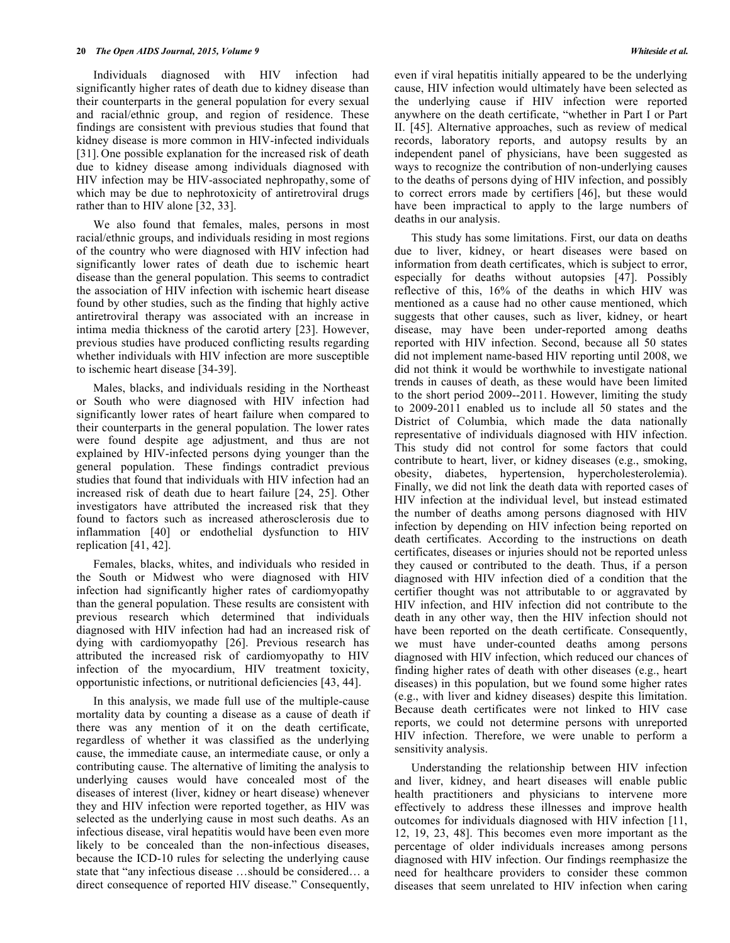Individuals diagnosed with HIV infection had significantly higher rates of death due to kidney disease than their counterparts in the general population for every sexual and racial/ethnic group, and region of residence. These findings are consistent with previous studies that found that kidney disease is more common in HIV-infected individuals [31]. One possible explanation for the increased risk of death due to kidney disease among individuals diagnosed with HIV infection may be HIV-associated nephropathy, some of which may be due to nephrotoxicity of antiretroviral drugs rather than to HIV alone [32, 33].

We also found that females, males, persons in most racial/ethnic groups, and individuals residing in most regions of the country who were diagnosed with HIV infection had significantly lower rates of death due to ischemic heart disease than the general population. This seems to contradict the association of HIV infection with ischemic heart disease found by other studies, such as the finding that highly active antiretroviral therapy was associated with an increase in intima media thickness of the carotid artery [23]. However, previous studies have produced conflicting results regarding whether individuals with HIV infection are more susceptible to ischemic heart disease [34-39].

Males, blacks, and individuals residing in the Northeast or South who were diagnosed with HIV infection had significantly lower rates of heart failure when compared to their counterparts in the general population. The lower rates were found despite age adjustment, and thus are not explained by HIV-infected persons dying younger than the general population. These findings contradict previous studies that found that individuals with HIV infection had an increased risk of death due to heart failure [24, 25]. Other investigators have attributed the increased risk that they found to factors such as increased atherosclerosis due to inflammation [40] or endothelial dysfunction to HIV replication [41, 42].

Females, blacks, whites, and individuals who resided in the South or Midwest who were diagnosed with HIV infection had significantly higher rates of cardiomyopathy than the general population. These results are consistent with previous research which determined that individuals diagnosed with HIV infection had had an increased risk of dying with cardiomyopathy [26]. Previous research has attributed the increased risk of cardiomyopathy to HIV infection of the myocardium, HIV treatment toxicity, opportunistic infections, or nutritional deficiencies [43, 44].

In this analysis, we made full use of the multiple-cause mortality data by counting a disease as a cause of death if there was any mention of it on the death certificate, regardless of whether it was classified as the underlying cause, the immediate cause, an intermediate cause, or only a contributing cause. The alternative of limiting the analysis to underlying causes would have concealed most of the diseases of interest (liver, kidney or heart disease) whenever they and HIV infection were reported together, as HIV was selected as the underlying cause in most such deaths. As an infectious disease, viral hepatitis would have been even more likely to be concealed than the non-infectious diseases, because the ICD-10 rules for selecting the underlying cause state that "any infectious disease …should be considered… a direct consequence of reported HIV disease." Consequently,

even if viral hepatitis initially appeared to be the underlying cause, HIV infection would ultimately have been selected as the underlying cause if HIV infection were reported anywhere on the death certificate, "whether in Part I or Part II. [45]. Alternative approaches, such as review of medical records, laboratory reports, and autopsy results by an independent panel of physicians, have been suggested as ways to recognize the contribution of non-underlying causes to the deaths of persons dying of HIV infection, and possibly to correct errors made by certifiers [46], but these would have been impractical to apply to the large numbers of deaths in our analysis.

This study has some limitations. First, our data on deaths due to liver, kidney, or heart diseases were based on information from death certificates, which is subject to error, especially for deaths without autopsies [47]. Possibly reflective of this, 16% of the deaths in which HIV was mentioned as a cause had no other cause mentioned, which suggests that other causes, such as liver, kidney, or heart disease, may have been under-reported among deaths reported with HIV infection. Second, because all 50 states did not implement name-based HIV reporting until 2008, we did not think it would be worthwhile to investigate national trends in causes of death, as these would have been limited to the short period 2009--2011. However, limiting the study to 2009-2011 enabled us to include all 50 states and the District of Columbia, which made the data nationally representative of individuals diagnosed with HIV infection. This study did not control for some factors that could contribute to heart, liver, or kidney diseases (e.g., smoking, obesity, diabetes, hypertension, hypercholesterolemia). Finally, we did not link the death data with reported cases of HIV infection at the individual level, but instead estimated the number of deaths among persons diagnosed with HIV infection by depending on HIV infection being reported on death certificates. According to the instructions on death certificates, diseases or injuries should not be reported unless they caused or contributed to the death. Thus, if a person diagnosed with HIV infection died of a condition that the certifier thought was not attributable to or aggravated by HIV infection, and HIV infection did not contribute to the death in any other way, then the HIV infection should not have been reported on the death certificate. Consequently, we must have under-counted deaths among persons diagnosed with HIV infection, which reduced our chances of finding higher rates of death with other diseases (e.g., heart diseases) in this population, but we found some higher rates (e.g., with liver and kidney diseases) despite this limitation. Because death certificates were not linked to HIV case reports, we could not determine persons with unreported HIV infection. Therefore, we were unable to perform a sensitivity analysis.

Understanding the relationship between HIV infection and liver, kidney, and heart diseases will enable public health practitioners and physicians to intervene more effectively to address these illnesses and improve health outcomes for individuals diagnosed with HIV infection [11, 12, 19, 23, 48]. This becomes even more important as the percentage of older individuals increases among persons diagnosed with HIV infection. Our findings reemphasize the need for healthcare providers to consider these common diseases that seem unrelated to HIV infection when caring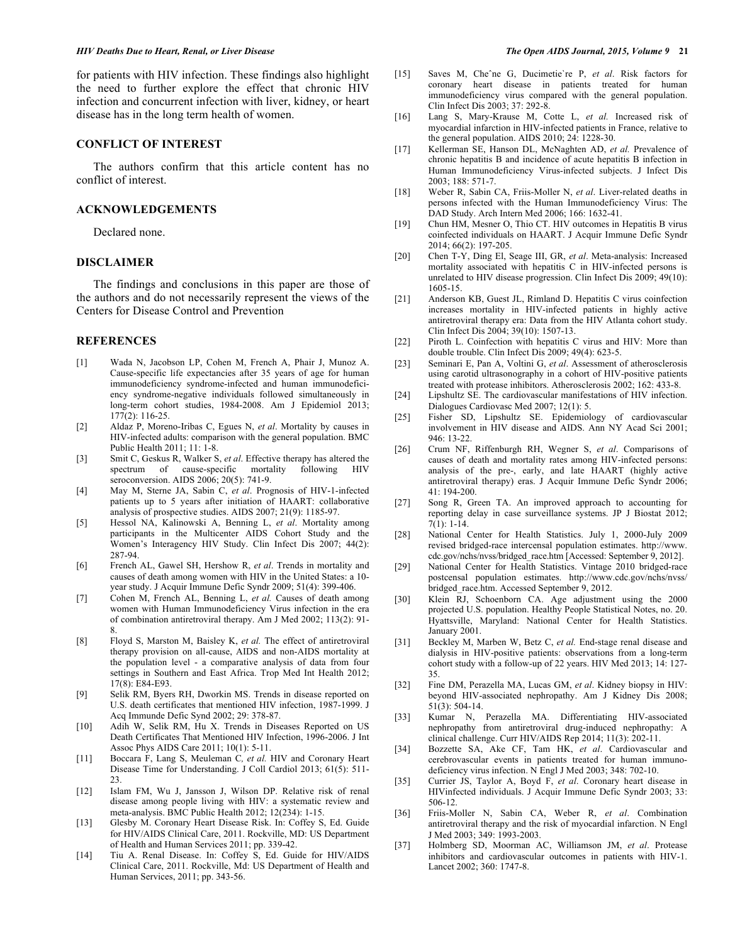#### *HIV Deaths Due to Heart, Renal, or Liver Disease The Open AIDS Journal, 2015, Volume 9* **21**

for patients with HIV infection. These findings also highlight the need to further explore the effect that chronic HIV infection and concurrent infection with liver, kidney, or heart disease has in the long term health of women.

# **CONFLICT OF INTEREST**

The authors confirm that this article content has no conflict of interest.

#### **ACKNOWLEDGEMENTS**

Declared none.

# **DISCLAIMER**

The findings and conclusions in this paper are those of the authors and do not necessarily represent the views of the Centers for Disease Control and Prevention

# **REFERENCES**

- [1] Wada N, Jacobson LP, Cohen M, French A, Phair J, Munoz A. Cause-specific life expectancies after 35 years of age for human immunodeficiency syndrome-infected and human immunodeficiency syndrome-negative individuals followed simultaneously in long-term cohort studies, 1984-2008. Am J Epidemiol 2013;  $177(2)$ : 116-25.
- [2] Aldaz P, Moreno-Iribas C, Egues N, *et al*. Mortality by causes in HIV-infected adults: comparison with the general population. BMC Public Health 2011; 11: 1-8.
- [3] Smit C, Geskus R, Walker S, *et al*. Effective therapy has altered the spectrum of cause-specific mortality seroconversion. AIDS 2006; 20(5): 741-9.
- [4] May M, Sterne JA, Sabin C, *et al*. Prognosis of HIV-1-infected patients up to 5 years after initiation of HAART: collaborative analysis of prospective studies. AIDS 2007; 21(9): 1185-97.
- [5] Hessol NA, Kalinowski A, Benning L, *et al*. Mortality among participants in the Multicenter AIDS Cohort Study and the Women's Interagency HIV Study. Clin Infect Dis 2007; 44(2): 287-94.
- [6] French AL, Gawel SH, Hershow R, *et al*. Trends in mortality and causes of death among women with HIV in the United States: a 10 year study. J Acquir Immune Defic Syndr 2009; 51(4): 399-406.
- [7] Cohen M, French AL, Benning L, *et al.* Causes of death among women with Human Immunodeficiency Virus infection in the era of combination antiretroviral therapy. Am J Med 2002; 113(2): 91- 8.
- [8] Floyd S, Marston M, Baisley K, *et al.* The effect of antiretroviral therapy provision on all-cause, AIDS and non-AIDS mortality at the population level - a comparative analysis of data from four settings in Southern and East Africa. Trop Med Int Health 2012; 17(8): E84-E93.
- [9] Selik RM, Byers RH, Dworkin MS. Trends in disease reported on U.S. death certificates that mentioned HIV infection, 1987-1999. J Acq Immunde Defic Synd 2002; 29: 378-87.
- [10] Adih W, Selik RM, Hu X. Trends in Diseases Reported on US Death Certificates That Mentioned HIV Infection, 1996-2006. J Int Assoc Phys AIDS Care 2011; 10(1): 5-11.
- [11] Boccara F, Lang S, Meuleman C*, et al.* HIV and Coronary Heart Disease Time for Understanding. J Coll Cardiol 2013; 61(5): 511- 23.
- [12] Islam FM, Wu J, Jansson J, Wilson DP. Relative risk of renal disease among people living with HIV: a systematic review and meta-analysis. BMC Public Health 2012; 12(234): 1-15.
- [13] Glesby M. Coronary Heart Disease Risk. In: Coffey S, Ed. Guide for HIV/AIDS Clinical Care, 2011. Rockville, MD: US Department of Health and Human Services 2011; pp. 339-42.
- [14] Tiu A. Renal Disease. In: Coffey S, Ed. Guide for HIV/AIDS Clinical Care, 2011. Rockville, Md: US Department of Health and Human Services, 2011; pp. 343-56.
- 
- [15] Saves M, Cheˆne G, Ducimetie`re P, *et al*. Risk factors for coronary heart disease in patients treated for human immunodeficiency virus compared with the general population. Clin Infect Dis 2003; 37: 292-8.
- [16] Lang S, Mary-Krause M, Cotte L, *et al.* Increased risk of myocardial infarction in HIV-infected patients in France, relative to the general population. AIDS 2010; 24: 1228-30.
- [17] Kellerman SE, Hanson DL, McNaghten AD, *et al.* Prevalence of chronic hepatitis B and incidence of acute hepatitis B infection in Human Immunodeficiency Virus-infected subjects. J Infect Dis 2003; 188: 571-7.
- [18] Weber R, Sabin CA, Friis-Moller N, *et al*. Liver-related deaths in persons infected with the Human Immunodeficiency Virus: The DAD Study. Arch Intern Med 2006; 166: 1632-41.
- [19] Chun HM, Mesner O, Thio CT. HIV outcomes in Hepatitis B virus coinfected individuals on HAART. J Acquir Immune Defic Syndr 2014; 66(2): 197-205.
- [20] Chen T-Y, Ding El, Seage III, GR, *et al*. Meta-analysis: Increased mortality associated with hepatitis C in HIV-infected persons is unrelated to HIV disease progression. Clin Infect Dis 2009; 49(10): 1605-15.
- [21] Anderson KB, Guest JL, Rimland D. Hepatitis C virus coinfection increases mortality in HIV-infected patients in highly active antiretroviral therapy era: Data from the HIV Atlanta cohort study. Clin Infect Dis 2004; 39(10): 1507-13.
- [22] Piroth L. Coinfection with hepatitis C virus and HIV: More than double trouble. Clin Infect Dis 2009; 49(4): 623-5.
- [23] Seminari E, Pan A, Voltini G, *et al*. Assessment of atherosclerosis using carotid ultrasonography in a cohort of HIV-positive patients treated with protease inhibitors. Atherosclerosis 2002; 162: 433-8.
- [24] Lipshultz SE. The cardiovascular manifestations of HIV infection. Dialogues Cardiovasc Med 2007; 12(1): 5.
- [25] Fisher SD, Lipshultz SE. Epidemiology of cardiovascular involvement in HIV disease and AIDS. Ann NY Acad Sci 2001;  $946:13-22.$
- [26] Crum NF, Riffenburgh RH, Wegner S, *et al*. Comparisons of causes of death and mortality rates among HIV-infected persons: analysis of the pre-, early, and late HAART (highly active antiretroviral therapy) eras. J Acquir Immune Defic Syndr 2006; 41: 194-200.
- [27] Song R, Green TA. An improved approach to accounting for reporting delay in case surveillance systems. JP J Biostat 2012; 7(1): 1-14.
- [28] National Center for Health Statistics. July 1, 2000-July 2009 revised bridged-race intercensal population estimates. http://www. cdc.gov/nchs/nvss/bridged\_race.htm [Accessed: September 9, 2012].
- [29] National Center for Health Statistics. Vintage 2010 bridged-race postcensal population estimates. http://www.cdc.gov/nchs/nvss/ bridged race.htm. Accessed September 9, 2012.
- [30] Klein RJ, Schoenborn CA. Age adjustment using the 2000 projected U.S. population. Healthy People Statistical Notes, no. 20. Hyattsville, Maryland: National Center for Health Statistics. January 2001.
- [31] Beckley M, Marben W, Betz C, *et al.* End-stage renal disease and dialysis in HIV-positive patients: observations from a long-term cohort study with a follow-up of 22 years. HIV Med 2013; 14: 127- 35.
- [32] Fine DM, Perazella MA, Lucas GM, *et al*. Kidney biopsy in HIV: beyond HIV-associated nephropathy. Am J Kidney Dis 2008; 51(3): 504-14.
- [33] Kumar N, Perazella MA. Differentiating HIV-associated nephropathy from antiretroviral drug-induced nephropathy: A clinical challenge. Curr HIV/AIDS Rep 2014; 11(3): 202-11.
- [34] Bozzette SA, Ake CF, Tam HK, *et al*. Cardiovascular and cerebrovascular events in patients treated for human immunodeficiency virus infection. N Engl J Med 2003; 348: 702-10.
- [35] Currier JS, Taylor A, Boyd F, *et al*. Coronary heart disease in HIVinfected individuals. J Acquir Immune Defic Syndr 2003; 33: 506-12.
- [36] Friis-Moller N, Sabin CA, Weber R, *et al*. Combination antiretroviral therapy and the risk of myocardial infarction. N Engl J Med 2003; 349: 1993-2003.
- [37] Holmberg SD, Moorman AC, Williamson JM, *et al*. Protease inhibitors and cardiovascular outcomes in patients with HIV-1. Lancet 2002; 360: 1747-8.